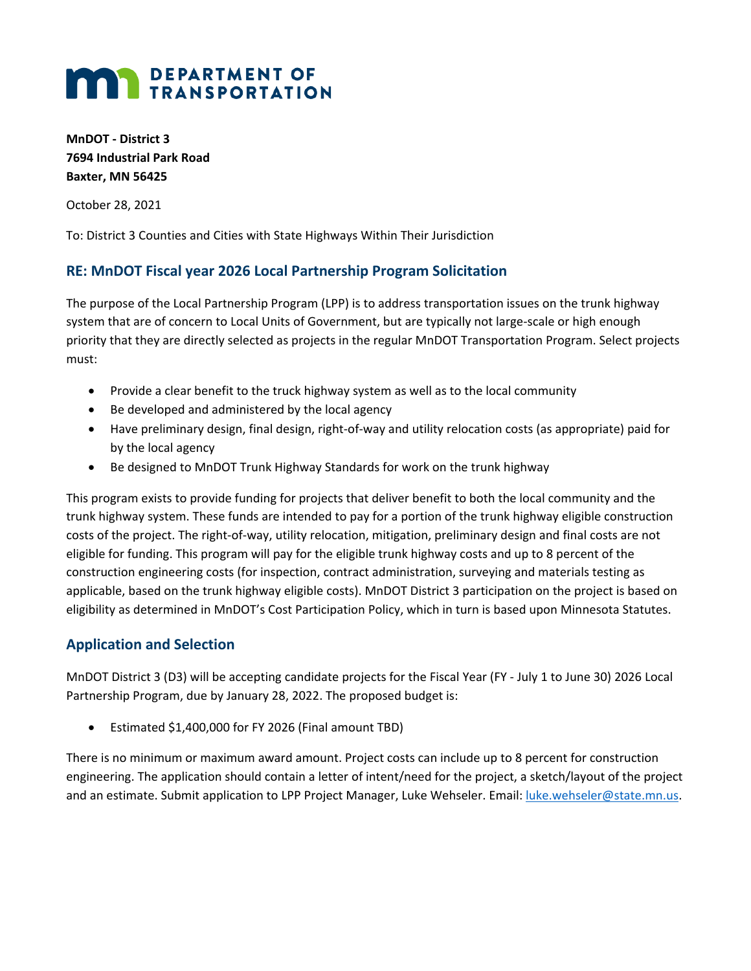## **MAN** DEPARTMENT OF

**MnDOT - District 3 7694 Industrial Park Road Baxter, MN 56425**

October 28, 2021

To: District 3 Counties and Cities with State Highways Within Their Jurisdiction

## **RE: MnDOT Fiscal year 2026 Local Partnership Program Solicitation**

The purpose of the Local Partnership Program (LPP) is to address transportation issues on the trunk highway system that are of concern to Local Units of Government, but are typically not large-scale or high enough priority that they are directly selected as projects in the regular MnDOT Transportation Program. Select projects must:

- Provide a clear benefit to the truck highway system as well as to the local community
- Be developed and administered by the local agency
- Have preliminary design, final design, right-of-way and utility relocation costs (as appropriate) paid for by the local agency
- Be designed to MnDOT Trunk Highway Standards for work on the trunk highway

This program exists to provide funding for projects that deliver benefit to both the local community and the trunk highway system. These funds are intended to pay for a portion of the trunk highway eligible construction costs of the project. The right-of-way, utility relocation, mitigation, preliminary design and final costs are not eligible for funding. This program will pay for the eligible trunk highway costs and up to 8 percent of the construction engineering costs (for inspection, contract administration, surveying and materials testing as applicable, based on the trunk highway eligible costs). MnDOT District 3 participation on the project is based on eligibility as determined in MnDOT's Cost Participation Policy, which in turn is based upon Minnesota Statutes.

## **Application and Selection**

MnDOT District 3 (D3) will be accepting candidate projects for the Fiscal Year (FY - July 1 to June 30) 2026 Local Partnership Program, due by January 28, 2022. The proposed budget is:

• Estimated \$1,400,000 for FY 2026 (Final amount TBD)

There is no minimum or maximum award amount. Project costs can include up to 8 percent for construction engineering. The application should contain a letter of intent/need for the project, a sketch/layout of the project and an estimate. Submit application to LPP Project Manager, Luke Wehseler. Email: [luke.wehseler@state.mn.us.](mailto:luke.wehseler@state.mn.us)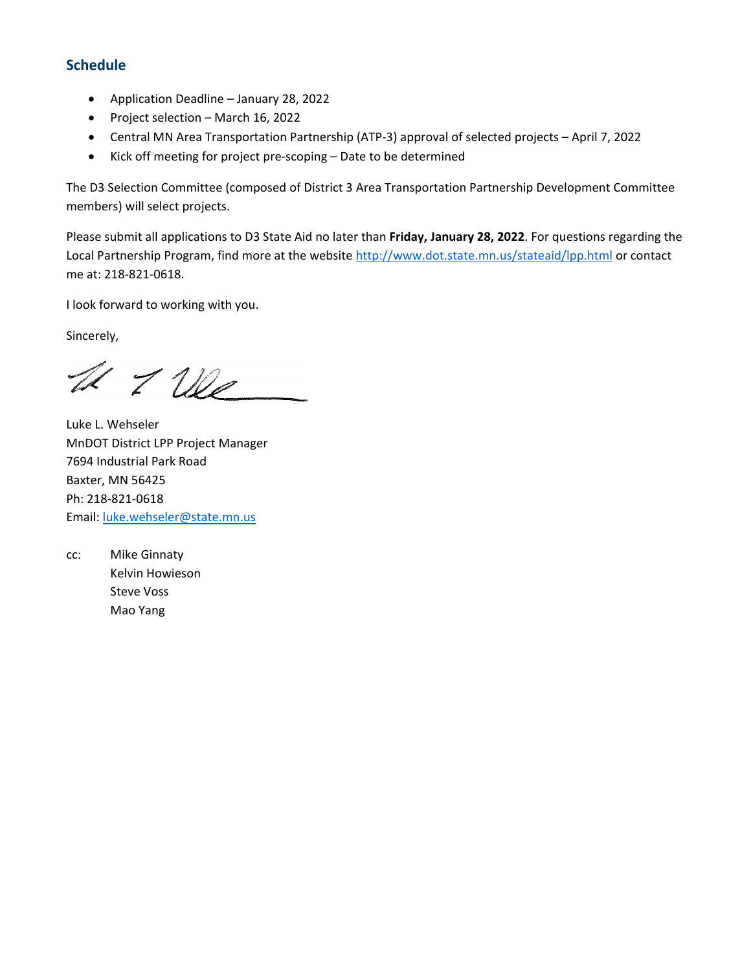## **Schedule**

- Application Deadline January 28, 2022
- Project selection March 16, 2022
- Central MN Area Transportation Partnership (ATP-3) approval of selected projects April 7, 2022
- Kick off meeting for project pre-scoping Date to be determined

The D3 Selection Committee (composed of District 3 Area Transportation Partnership Development Committee members) will select projects.

Please submit all applications to D3 State Aid no later than **Friday, January 28, 2022**. For questions regarding the Local Partnership Program, find more at the website<http://www.dot.state.mn.us/stateaid/lpp.html> or contact me at: 218-821-0618.

I look forward to working with you.

Sincerely,

U I We

Luke L. Wehseler MnDOT District LPP Project Manager 7694 Industrial Park Road Baxter, MN 56425 Ph: 218-821-0618 Email: [luke.wehseler@state.mn.us](mailto:luke.wehseler@state.mn.us)

cc: Mike Ginnaty Kelvin Howieson Steve Voss Mao Yang